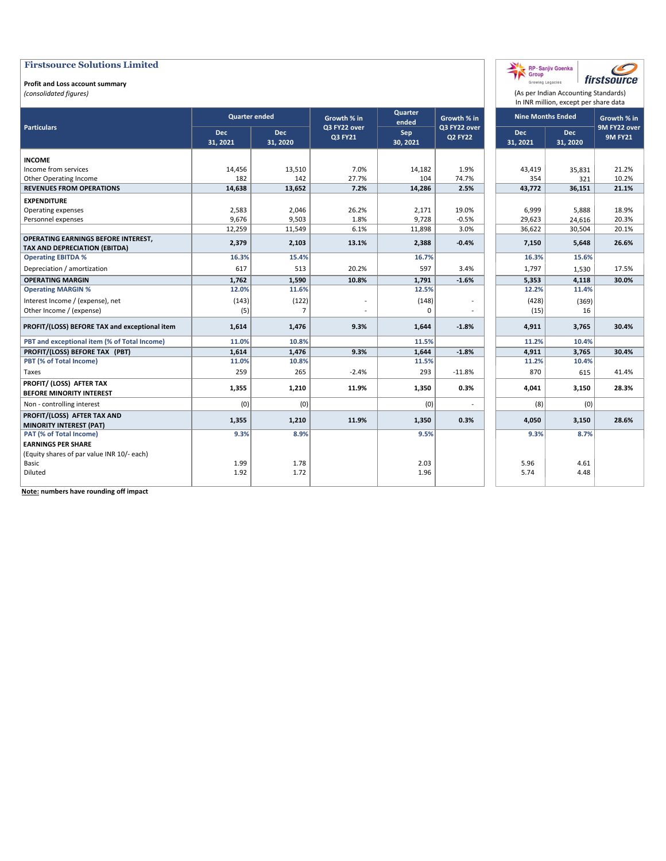#### **Profit and Loss account summary**

*(consolidated figures)*

|                                                                             |                      |                        |                         |                  |                                |                          | In INR million, except per share data |                                |
|-----------------------------------------------------------------------------|----------------------|------------------------|-------------------------|------------------|--------------------------------|--------------------------|---------------------------------------|--------------------------------|
|                                                                             | <b>Quarter ended</b> |                        | Growth % in             | Quarter<br>ended | Growth % in                    | <b>Nine Months Ended</b> |                                       | Growth % in                    |
| <b>Particulars</b>                                                          | Dec<br>31, 2021      | <b>Dec</b><br>31, 2020 | Q3 FY22 over<br>Q3 FY21 | Sep<br>30, 2021  | Q3 FY22 over<br><b>Q2 FY22</b> | Dec<br>31, 2021          | <b>Dec</b><br>31, 2020                | 9M FY22 over<br><b>9M FY21</b> |
| <b>INCOME</b>                                                               |                      |                        |                         |                  |                                |                          |                                       |                                |
| Income from services                                                        | 14,456               | 13,510                 | 7.0%                    | 14,182           | 1.9%                           | 43.419                   | 35,831                                | 21.2%                          |
| Other Operating Income                                                      | 182                  | 142                    | 27.7%                   | 104              | 74.7%                          | 354                      | 321                                   | 10.2%                          |
| <b>REVENUES FROM OPERATIONS</b>                                             | 14,638               | 13,652                 | 7.2%                    | 14,286           | 2.5%                           | 43,772                   | 36,151                                | 21.1%                          |
| <b>EXPENDITURE</b>                                                          |                      |                        |                         |                  |                                |                          |                                       |                                |
| Operating expenses                                                          | 2,583                | 2,046                  | 26.2%                   | 2,171            | 19.0%                          | 6,999                    | 5,888                                 | 18.9%                          |
| Personnel expenses                                                          | 9,676                | 9,503                  | 1.8%                    | 9,728            | $-0.5%$                        | 29,623                   | 24,616                                | 20.3%                          |
|                                                                             | 12,259               | 11,549                 | 6.1%                    | 11,898           | 3.0%                           | 36,622                   | 30,504                                | 20.1%                          |
| OPERATING EARNINGS BEFORE INTEREST,<br><b>TAX AND DEPRECIATION (EBITDA)</b> | 2,379                | 2,103                  | 13.1%                   | 2,388            | $-0.4%$                        | 7,150                    | 5,648                                 | 26.6%                          |
| <b>Operating EBITDA %</b>                                                   | 16.3%                | 15.4%                  |                         | 16.7%            |                                | 16.3%                    | 15.6%                                 |                                |
| Depreciation / amortization                                                 | 617                  | 513                    | 20.2%                   | 597              | 3.4%                           | 1,797                    | 1,530                                 | 17.5%                          |
| <b>OPERATING MARGIN</b>                                                     | 1,762                | 1,590                  | 10.8%                   | 1,791            | $-1.6%$                        | 5,353                    | 4,118                                 | 30.0%                          |
| <b>Operating MARGIN %</b>                                                   | 12.0%                | 11.6%                  |                         | 12.5%            |                                | 12.2%                    | 11.4%                                 |                                |
| Interest Income / (expense), net                                            | (143)                | (122)                  |                         | (148)            | $\overline{\phantom{a}}$       | (428)                    | (369)                                 |                                |
| Other Income / (expense)                                                    | (5)                  | $\overline{7}$         |                         | 0                |                                | (15)                     | 16                                    |                                |
| PROFIT/(LOSS) BEFORE TAX and exceptional item                               | 1,614                | 1,476                  | 9.3%                    | 1,644            | $-1.8%$                        | 4,911                    | 3,765                                 | 30.4%                          |
| PBT and exceptional item (% of Total Income)                                | 11.0%                | 10.8%                  |                         | 11.5%            |                                | 11.2%                    | 10.4%                                 |                                |
| PROFIT/(LOSS) BEFORE TAX (PBT)                                              | 1,614                | 1,476                  | 9.3%                    | 1,644            | $-1.8%$                        | 4,911                    | 3,765                                 | 30.4%                          |
| PBT (% of Total Income)                                                     | 11.0%                | 10.8%                  |                         | 11.5%            |                                | 11.2%                    | 10.4%                                 |                                |
| Taxes                                                                       | 259                  | 265                    | $-2.4%$                 | 293              | $-11.8%$                       | 870                      | 615                                   | 41.4%                          |
| PROFIT/ (LOSS) AFTER TAX<br><b>BEFORE MINORITY INTEREST</b>                 | 1,355                | 1,210                  | 11.9%                   | 1,350            | 0.3%                           | 4,041                    | 3,150                                 | 28.3%                          |
| Non - controlling interest                                                  | (0)                  | (0)                    |                         | (0)              |                                | (8)                      | (0)                                   |                                |
| PROFIT/(LOSS) AFTER TAX AND                                                 | 1,355                | 1,210                  | 11.9%                   | 1,350            | 0.3%                           | 4,050                    | 3,150                                 | 28.6%                          |
| <b>MINORITY INTEREST (PAT)</b>                                              |                      |                        |                         |                  |                                |                          |                                       |                                |
| PAT (% of Total Income)                                                     | 9.3%                 | 8.9%                   |                         | 9.5%             |                                | 9.3%                     | 8.7%                                  |                                |
| <b>EARNINGS PER SHARE</b>                                                   |                      |                        |                         |                  |                                |                          |                                       |                                |
| (Equity shares of par value INR 10/- each)                                  |                      |                        |                         |                  |                                |                          |                                       |                                |
| Basic                                                                       | 1.99                 | 1.78                   |                         | 2.03             |                                | 5.96                     | 4.61                                  |                                |
| Diluted                                                                     | 1.92                 | 1.72                   |                         | 1.96             |                                | 5.74                     | 4.48                                  |                                |

(As per Indian Accounting Standards)

C firstsource

RP-Sanjiv Goenka

Growing Legacies

**Note: numbers have rounding off impact**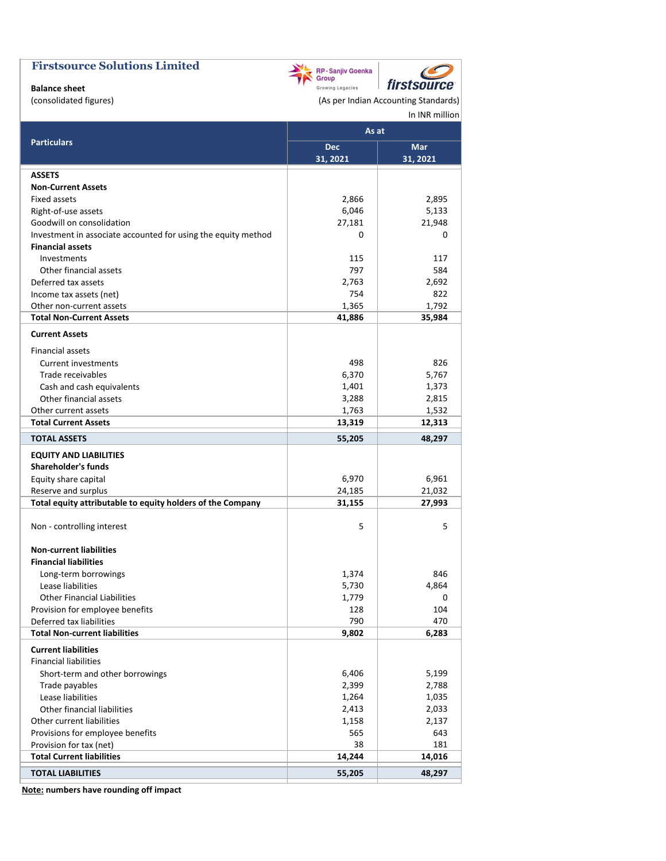

**Balance sheet**

(consolidated figures) and a settle and a consolidated figures) (As per Indian Accounting Standards) In INR million

C

|                                                               | As at      |          |
|---------------------------------------------------------------|------------|----------|
| <b>Particulars</b>                                            | <b>Dec</b> | Mar      |
|                                                               | 31, 2021   | 31, 2021 |
| <b>ASSETS</b>                                                 |            |          |
| <b>Non-Current Assets</b>                                     |            |          |
| <b>Fixed assets</b>                                           | 2,866      | 2,895    |
| Right-of-use assets                                           | 6,046      | 5,133    |
| Goodwill on consolidation                                     | 27,181     | 21,948   |
| Investment in associate accounted for using the equity method | 0          | 0        |
| <b>Financial assets</b>                                       |            |          |
| Investments                                                   | 115        | 117      |
| Other financial assets                                        | 797        | 584      |
| Deferred tax assets                                           | 2,763      | 2,692    |
| Income tax assets (net)                                       | 754        | 822      |
| Other non-current assets                                      | 1,365      | 1,792    |
| <b>Total Non-Current Assets</b>                               | 41,886     | 35,984   |
| <b>Current Assets</b>                                         |            |          |
| Financial assets                                              |            |          |
| <b>Current investments</b>                                    | 498        | 826      |
| Trade receivables                                             | 6,370      | 5,767    |
| Cash and cash equivalents                                     | 1,401      | 1,373    |
| Other financial assets                                        | 3,288      | 2,815    |
| Other current assets                                          | 1,763      | 1,532    |
| <b>Total Current Assets</b>                                   | 13,319     | 12,313   |
| <b>TOTAL ASSETS</b>                                           | 55,205     | 48,297   |
| <b>EQUITY AND LIABILITIES</b>                                 |            |          |
| <b>Shareholder's funds</b>                                    |            |          |
| Equity share capital                                          | 6,970      | 6,961    |
| Reserve and surplus                                           | 24,185     | 21,032   |
| Total equity attributable to equity holders of the Company    | 31,155     | 27,993   |
| Non - controlling interest                                    | 5          | 5        |
| <b>Non-current liabilities</b>                                |            |          |
| <b>Financial liabilities</b>                                  |            |          |
| Long-term borrowings                                          | 1,374      | 846      |
| Lease liabilities                                             | 5,730      | 4,864    |
| <b>Other Financial Liabilities</b>                            | 1,779      | 0        |
| Provision for employee benefits                               | 128        | 104      |
| Deferred tax liabilities                                      | 790        | 470      |
| <b>Total Non-current liabilities</b>                          | 9,802      | 6,283    |
| <b>Current liabilities</b>                                    |            |          |
| <b>Financial liabilities</b>                                  |            |          |
| Short-term and other borrowings                               | 6,406      | 5,199    |
| Trade payables                                                | 2,399      | 2,788    |
| Lease liabilities                                             | 1,264      | 1,035    |
| Other financial liabilities                                   | 2,413      | 2,033    |
| Other current liabilities                                     | 1,158      | 2,137    |
| Provisions for employee benefits                              | 565        | 643      |
| Provision for tax (net)                                       | 38         | 181      |
| <b>Total Current liabilities</b>                              | 14,244     | 14,016   |
|                                                               |            |          |
| <b>TOTAL LIABILITIES</b>                                      | 55,205     | 48,297   |

**Note: numbers have rounding off impact**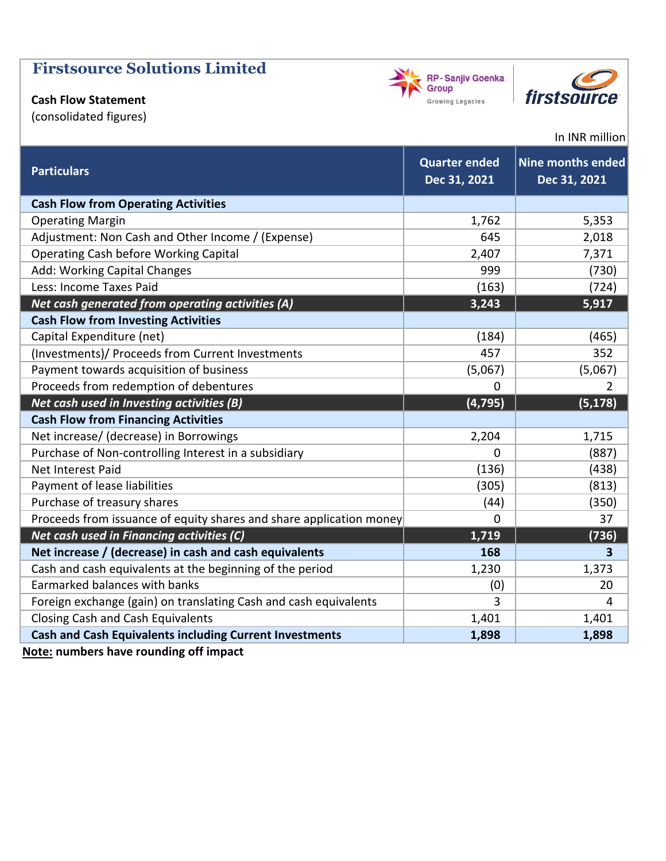# **Cash Flow Statement**

(consolidated figures)





### In INR million

| <b>Particulars</b>                                                  | <b>Quarter ended</b><br>Dec 31, 2021 | Nine months ended<br>Dec 31, 2021 |
|---------------------------------------------------------------------|--------------------------------------|-----------------------------------|
| <b>Cash Flow from Operating Activities</b>                          |                                      |                                   |
| <b>Operating Margin</b>                                             | 1,762                                | 5,353                             |
| Adjustment: Non Cash and Other Income / (Expense)                   | 645                                  | 2,018                             |
| <b>Operating Cash before Working Capital</b>                        | 2,407                                | 7,371                             |
| Add: Working Capital Changes                                        | 999                                  | (730)                             |
| Less: Income Taxes Paid                                             | (163)                                | (724)                             |
| Net cash generated from operating activities (A)                    | 3,243                                | 5,917                             |
| <b>Cash Flow from Investing Activities</b>                          |                                      |                                   |
| Capital Expenditure (net)                                           | (184)                                | (465)                             |
| (Investments)/ Proceeds from Current Investments                    | 457                                  | 352                               |
| Payment towards acquisition of business                             | (5,067)                              | (5,067)                           |
| Proceeds from redemption of debentures                              | 0                                    | $\overline{2}$                    |
| Net cash used in Investing activities (B)                           | (4, 795)                             | (5, 178)                          |
| <b>Cash Flow from Financing Activities</b>                          |                                      |                                   |
| Net increase/ (decrease) in Borrowings                              | 2,204                                | 1,715                             |
| Purchase of Non-controlling Interest in a subsidiary                | $\mathbf 0$                          | (887)                             |
| Net Interest Paid                                                   | (136)                                | (438)                             |
| Payment of lease liabilities                                        | (305)                                | (813)                             |
| Purchase of treasury shares                                         | (44)                                 | (350)                             |
| Proceeds from issuance of equity shares and share application money | $\mathbf 0$                          | 37                                |
| Net cash used in Financing activities (C)                           | 1,719                                | (736)                             |
| Net increase / (decrease) in cash and cash equivalents              | 168                                  | 3                                 |
| Cash and cash equivalents at the beginning of the period            | 1,230                                | 1,373                             |
| Earmarked balances with banks                                       | (0)                                  | 20                                |
| Foreign exchange (gain) on translating Cash and cash equivalents    | 3                                    | 4                                 |
| <b>Closing Cash and Cash Equivalents</b>                            | 1,401                                | 1,401                             |
| <b>Cash and Cash Equivalents including Current Investments</b>      | 1,898                                | 1,898                             |

**Note: numbers have rounding off impact**